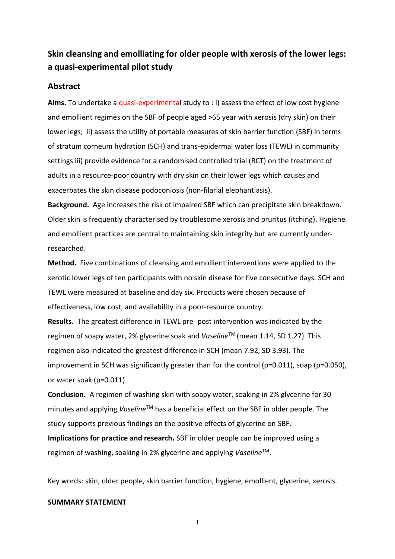# **Skin cleansing and emolliating for older people with xerosis of the lower legs: a quasi-experimental pilot study**

# **Abstract**

**Aims.** To undertake a quasi-experimental study to : i) assess the effect of low cost hygiene and emollient regimes on the SBF of people aged >65 year with xerosis (dry skin) on their lower legs; ii) assess the utility of portable measures of skin barrier function (SBF) in terms of stratum corneum hydration (SCH) and trans-epidermal water loss (TEWL) in community settings iii) provide evidence for a randomised controlled trial (RCT) on the treatment of adults in a resource-poor country with dry skin on their lower legs which causes and exacerbates the skin disease podoconiosis (non-filarial elephantiasis).

**Background.** Age increases the risk of impaired SBF which can precipitate skin breakdown. Older skin is frequently characterised by troublesome xerosis and pruritus (itching). Hygiene and emollient practices are central to maintaining skin integrity but are currently underresearched.

**Method.** Five combinations of cleansing and emollient interventions were applied to the xerotic lower legs of ten participants with no skin disease for five consecutive days. SCH and TEWL were measured at baseline and day six. Products were chosen because of effectiveness, low cost, and availability in a poor-resource country.

**Results.** The greatest difference in TEWL pre- post intervention was indicated by the regimen of soapy water, 2% glycerine soak and *Vaseline*TM (mean 1.14, SD 1.27). This regimen also indicated the greatest difference in SCH (mean 7.92, SD 3.93). The improvement in SCH was significantly greater than for the control (p=0.011), soap (p=0.050), or water soak (p=0.011).

**Conclusion.** A regimen of washing skin with soapy water, soaking in 2% glycerine for 30 minutes and applying *Vaseline*TM has a beneficial effect on the SBF in older people. The study supports previous findings on the positive effects of glycerine on SBF. **Implications for practice and research.** SBF in older people can be improved using a

regimen of washing, soaking in 2% glycerine and applying *Vaseline*TM.

Key words: skin, older people, skin barrier function, hygiene, emollient, glycerine, xerosis.

### **SUMMARY STATEMENT**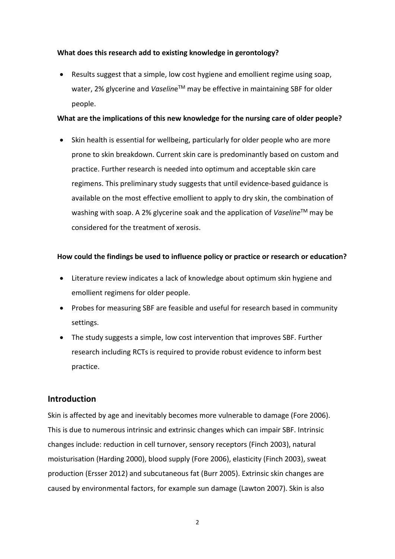# **What does this research add to existing knowledge in gerontology?**

 Results suggest that a simple, low cost hygiene and emollient regime using soap, water, 2% glycerine and Vaseline<sup>™</sup> may be effective in maintaining SBF for older people.

### **What are the implications of this new knowledge for the nursing care of older people?**

• Skin health is essential for wellbeing, particularly for older people who are more prone to skin breakdown. Current skin care is predominantly based on custom and practice. Further research is needed into optimum and acceptable skin care regimens. This preliminary study suggests that until evidence-based guidance is available on the most effective emollient to apply to dry skin, the combination of washing with soap. A 2% glycerine soak and the application of *Vaseline*TM may be considered for the treatment of xerosis.

### **How could the findings be used to influence policy or practice or research or education?**

- Literature review indicates a lack of knowledge about optimum skin hygiene and emollient regimens for older people.
- Probes for measuring SBF are feasible and useful for research based in community settings.
- The study suggests a simple, low cost intervention that improves SBF. Further research including RCTs is required to provide robust evidence to inform best practice.

# **Introduction**

Skin is affected by age and inevitably becomes more vulnerable to damage [\(Fore 2006\)](file:///C:/Documents%20and%20Settings/426851/Local%20Settings/Temporary%20Internet%20Files/Content.Outlook/GQET8CX7/Fore%202006). This is due to numerous intrinsic and extrinsic changes which can impair SBF. Intrinsic changes include: reduction in cell turnover, sensory receptors [\(Finch 2003\)](file:///C:/Documents%20and%20Settings/426851/Local%20Settings/Temporary%20Internet%20Files/Content.Outlook/GQET8CX7/Finch%202003), natural moisturisation [\(Harding 2000\)](file:///C:/Documents%20and%20Settings/426851/Local%20Settings/Temporary%20Internet%20Files/Content.Outlook/GQET8CX7/Harding%202000), blood supply [\(Fore 2006\)](file:///C:/Documents%20and%20Settings/426851/Local%20Settings/Temporary%20Internet%20Files/Content.Outlook/GQET8CX7/Fore%202006), elasticity [\(Finch 2003\)](file:///C:/Documents%20and%20Settings/426851/Local%20Settings/Temporary%20Internet%20Files/Content.Outlook/GQET8CX7/Finch%202003), sweat production (Ersser 2012) and subcutaneous fat [\(Burr 2005\)](file:///C:/Documents%20and%20Settings/426851/Local%20Settings/Temporary%20Internet%20Files/Content.Outlook/GQET8CX7/Burr%202005). Extrinsic skin changes are caused by environmental factors, for example sun damage [\(Lawton 2007\)](file:///C:/Documents%20and%20Settings/426851/Local%20Settings/Temporary%20Internet%20Files/Content.Outlook/GQET8CX7/Lawton%202007). Skin is also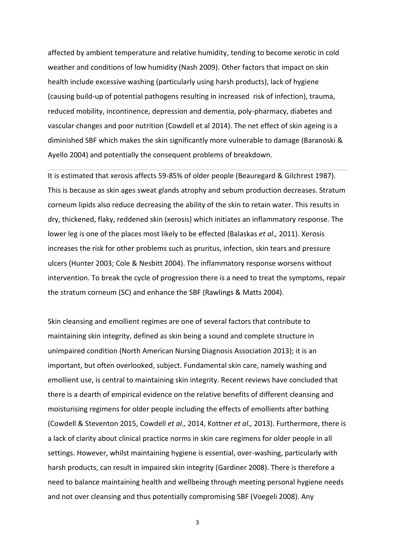affected by ambient temperature and relative humidity, tending to become xerotic in cold weather and conditions of low humidity (Nash 2009). Other factors that impact on skin health include excessive washing (particularly using harsh products), lack of hygiene (causing build-up of potential pathogens resulting in increased risk of infection), trauma, reduced mobility, incontinence, depression and dementia, poly-pharmacy, diabetes and vascular changes and poor nutrition (Cowdell et al 2014). The net effect of skin ageing is a diminished SBF which makes the skin significantly more vulnerable to damage [\(Baranoski &](file:///C:/Documents%20and%20Settings/426851/Local%20Settings/Temporary%20Internet%20Files/Content.Outlook/GQET8CX7/Baranoski%202004)  [Ayello](file:///C:/Documents%20and%20Settings/426851/Local%20Settings/Temporary%20Internet%20Files/Content.Outlook/GQET8CX7/Baranoski%202004) 2004) and potentially the consequent problems of breakdown.

It is estimated that xerosis affects 59-85% of older people [\(Beauregard & Gilchrest 1987\)](file:///C:/Documents%20and%20Settings/426851/Local%20Settings/Temporary%20Internet%20Files/Content.Outlook/GQET8CX7/Beauregard%201987). This is because as skin ages sweat glands atrophy and sebum production decreases. Stratum corneum lipids also reduce decreasing the ability of the skin to retain water. This results in dry, thickened, flaky, reddened skin (xerosis) which initiates an inflammatory response. The lower leg is one of the places most likely to be effected (Balaskas *et al.,* 2011). Xerosis increases the risk for other problems such as pruritus, infection, skin tears and pressure ulcers [\(Hunter 2003;](file:///C:/Documents%20and%20Settings/426851/Local%20Settings/Temporary%20Internet%20Files/Content.Outlook/GQET8CX7/Hunter%202003) [Cole & Nesbitt 2004\)](file:///C:/Documents%20and%20Settings/426851/Local%20Settings/Temporary%20Internet%20Files/Content.Outlook/GQET8CX7/Cole%202004). The inflammatory response worsens without intervention. To break the cycle of progression there is a need to treat the symptoms, repair the stratum corneum (SC) and enhance the SBF (Rawlings & Matts 2004).

Skin cleansing and emollient regimes are one of several factors that contribute to maintaining skin integrity, defined as skin being a sound and complete structure in unimpaired condition (North American Nursing Diagnosis Association 2013); it is an important, but often overlooked, subject. Fundamental skin care, namely washing and emollient use, is central to maintaining skin integrity. Recent reviews have concluded that there is a dearth of empirical evidence on the relative benefits of different cleansing and moisturising regimens for older people including the effects of emollients after bathing (Cowdell & Steventon 2015, Cowdell *et al.,* 2014, Kottner *et al.,* 2013). Furthermore, there is a lack of clarity about clinical practice norms in skin care regimens for older people in all settings. However, whilst maintaining hygiene is essential, over-washing, particularly with harsh products, can result in impaired skin integrity [\(Gardiner 2008\)](file:///C:/Documents%20and%20Settings/426851/Local%20Settings/Temporary%20Internet%20Files/Content.Outlook/GQET8CX7/Gardiner%202008). There is therefore a need to balance maintaining health and wellbeing through meeting personal hygiene needs and not over cleansing and thus potentially compromising SBF [\(Voegeli 2008\)](file:///C:/Documents%20and%20Settings/426851/Local%20Settings/Temporary%20Internet%20Files/Content.Outlook/GQET8CX7/Voegeli%202008a). Any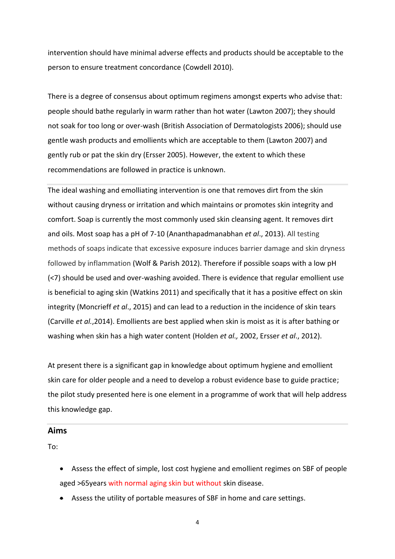intervention should have minimal adverse effects and products should be acceptable to the person to ensure treatment concordance [\(Cowdell 2010\)](file:///C:/Documents%20and%20Settings/426851/Local%20Settings/Temporary%20Internet%20Files/Content.Outlook/GQET8CX7/Cowdell%202010).

There is a degree of consensus about optimum regimens amongst experts who advise that: people should bathe regularly in warm rather than hot water [\(Lawton 2007\)](file:///C:/Documents%20and%20Settings/426851/Local%20Settings/Temporary%20Internet%20Files/Content.Outlook/GQET8CX7/Lawton%202007); they should not soak for too long or over-wash (British Association of Dermatologists 2006); should use gentle wash products and emollients which are acceptable to them (Lawton 2007) and gently rub or pat the skin dry (Ersser 2005). However, the extent to which these recommendations are followed in practice is unknown.

The ideal washing and emolliating intervention is one that removes dirt from the skin without causing dryness or irritation and which maintains or promotes skin integrity and comfort. Soap is currently the most commonly used skin cleansing agent. It removes dirt and oils. Most soap has a pH of 7-10 (Ananthapadmanabhan *et al*., 2013). All testing methods of soaps indicate that excessive exposure induces barrier damage and skin dryness followed by inflammation (Wolf & Parish 2012). Therefore if possible soaps with a low pH (<7) should be used and over-washing avoided. There is evidence that regular emollient use is beneficial to aging skin (Watkins 2011) and specifically that it has a positive effect on skin integrity (Moncrieff *et al*., 2015) and can lead to a reduction in the incidence of skin tears (Carville *et al.*,2014). Emollients are best applied when skin is moist as it is after bathing or washing when skin has a high water content (Holden *et al.,* 2002, Ersser *et al*., 2012).

At present there is a significant gap in knowledge about optimum hygiene and emollient skin care for older people and a need to develop a robust evidence base to guide practice; the pilot study presented here is one element in a programme of work that will help address this knowledge gap.

#### **Aims**

To:

- Assess the effect of simple, lost cost hygiene and emollient regimes on SBF of people aged >65years with normal aging skin but without skin disease.
- Assess the utility of portable measures of SBF in home and care settings.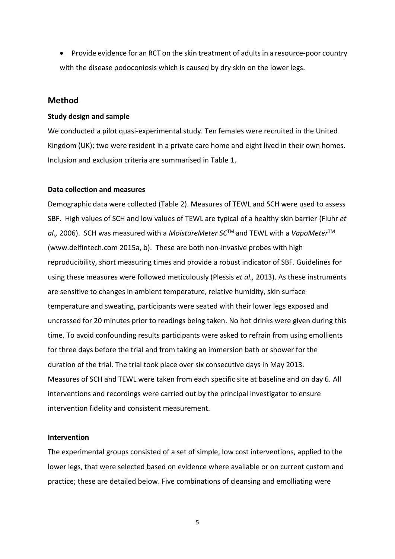• Provide evidence for an RCT on the skin treatment of adults in a resource-poor country with the disease podoconiosis which is caused by dry skin on the lower legs.

# **Method**

#### **Study design and sample**

We conducted a pilot quasi-experimental study. Ten females were recruited in the United Kingdom (UK); two were resident in a private care home and eight lived in their own homes. Inclusion and exclusion criteria are summarised in Table 1.

#### **Data collection and measures**

Demographic data were collected (Table 2). Measures of TEWL and SCH were used to assess SBF. High values of SCH and low values of TEWL are typical of a healthy skin barrier (Fluhr *et al.,* 2006). SCH was measured with a *MoistureMeter SC*TM and TEWL with a *VapoMeter*TM [\(www.delfintech.com](http://www.delfintech.com/) 2015a, b). These are both non-invasive probes with high reproducibility, short measuring times and provide a robust indicator of SBF. Guidelines for using these measures were followed meticulously (Plessis *et al.,* 2013). As these instruments are sensitive to changes in ambient temperature, relative humidity, skin surface temperature and sweating, participants were seated with their lower legs exposed and uncrossed for 20 minutes prior to readings being taken. No hot drinks were given during this time. To avoid confounding results participants were asked to refrain from using emollients for three days before the trial and from taking an immersion bath or shower for the duration of the trial. The trial took place over six consecutive days in May 2013. Measures of SCH and TEWL were taken from each specific site at baseline and on day 6. All interventions and recordings were carried out by the principal investigator to ensure intervention fidelity and consistent measurement.

#### **Intervention**

The experimental groups consisted of a set of simple, low cost interventions, applied to the lower legs, that were selected based on evidence where available or on current custom and practice; these are detailed below. Five combinations of cleansing and emolliating were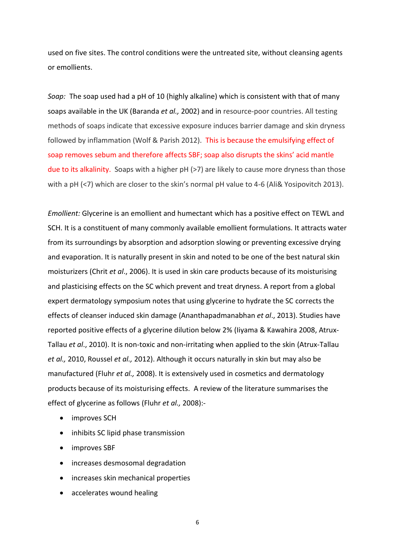used on five sites. The control conditions were the untreated site, without cleansing agents or emollients.

*Soap:* The soap used had a pH of 10 (highly alkaline) which is consistent with that of many soaps available in the UK (Baranda *et al.,* 2002) and in resource-poor countries. All testing methods of soaps indicate that excessive exposure induces barrier damage and skin dryness followed by inflammation (Wolf & Parish 2012). This is because the emulsifying effect of soap removes sebum and therefore affects SBF; soap also disrupts the skins' acid mantle due to its alkalinity. Soaps with a higher pH (>7) are likely to cause more dryness than those with a pH (<7) which are closer to the skin's normal pH value to 4-6 (Ali& Yosipovitch 2013).

*Emollient:* Glycerine is an emollient and humectant which has a positive effect on TEWL and SCH. It is a constituent of many commonly available emollient formulations. It attracts water from its surroundings by absorption and adsorption slowing or preventing excessive drying and evaporation. It is naturally present in skin and noted to be one of the best natural skin moisturizers (Chrit *et al*., 2006). It is used in skin care products because of its moisturising and plasticising effects on the SC which prevent and treat dryness. A report from a global expert dermatology symposium notes that using glycerine to hydrate the SC corrects the effects of cleanser induced skin damage (Ananthapadmanabhan *et al*., 2013). Studies have reported positive effects of a glycerine dilution below 2% (Iiyama & Kawahira 2008, Atrux-Tallau *et al*., 2010). It is non-toxic and non-irritating when applied to the skin (Atrux-Tallau *et al.,* 2010, Roussel *et al.,* 2012). Although it occurs naturally in skin but may also be manufactured (Fluhr *et al.,* 2008). It is extensively used in cosmetics and dermatology products because of its moisturising effects. A review of the literature summarises the effect of glycerine as follows (Fluhr *et al.,* 2008):-

- improves SCH
- inhibits SC lipid phase transmission
- improves SBF
- increases desmosomal degradation
- increases skin mechanical properties
- accelerates wound healing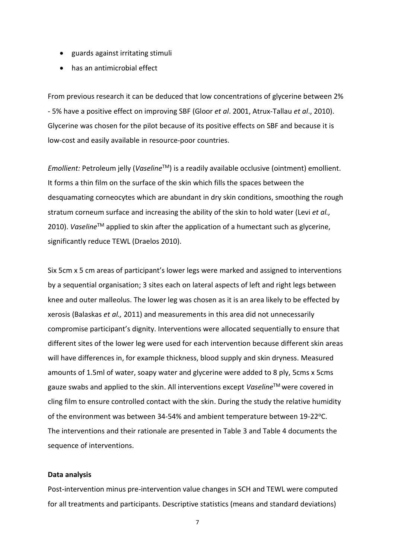- guards against irritating stimuli
- has an antimicrobial effect

From previous research it can be deduced that low concentrations of glycerine between 2% - 5% have a positive effect on improving SBF (Gloor *et al*. 2001, Atrux-Tallau *et al*., 2010). Glycerine was chosen for the pilot because of its positive effects on SBF and because it is low-cost and easily available in resource-poor countries.

*Emollient:* Petroleum jelly (*Vaseline*<sup>™</sup>) is a readily available occlusive (ointment) emollient. It forms a thin film on the surface of the skin which fills the spaces between the desquamating corneocytes which are abundant in dry skin conditions, smoothing the rough stratum corneum surface and increasing the ability of the skin to hold water (Levi *et al.,* 2010). *Vaseline*<sup>™</sup> applied to skin after the application of a humectant such as glycerine, significantly reduce TEWL (Draelos 2010).

Six 5cm x 5 cm areas of participant's lower legs were marked and assigned to interventions by a sequential organisation; 3 sites each on lateral aspects of left and right legs between knee and outer malleolus. The lower leg was chosen as it is an area likely to be effected by xerosis (Balaskas *et al.,* 2011) and measurements in this area did not unnecessarily compromise participant's dignity. Interventions were allocated sequentially to ensure that different sites of the lower leg were used for each intervention because different skin areas will have differences in, for example thickness, blood supply and skin dryness. Measured amounts of 1.5ml of water, soapy water and glycerine were added to 8 ply, 5cms x 5cms gauze swabs and applied to the skin. All interventions except *Vaseline*TM were covered in cling film to ensure controlled contact with the skin. During the study the relative humidity of the environment was between 34-54% and ambient temperature between 19-22 °C. The interventions and their rationale are presented in Table 3 and Table 4 documents the sequence of interventions.

#### **Data analysis**

Post-intervention minus pre-intervention value changes in SCH and TEWL were computed for all treatments and participants. Descriptive statistics (means and standard deviations)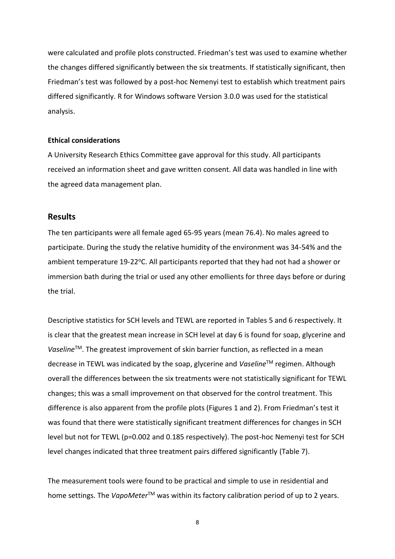were calculated and profile plots constructed. Friedman's test was used to examine whether the changes differed significantly between the six treatments. If statistically significant, then Friedman's test was followed by a post-hoc Nemenyi test to establish which treatment pairs differed significantly. R for Windows software Version 3.0.0 was used for the statistical analysis.

#### **Ethical considerations**

A University Research Ethics Committee gave approval for this study. All participants received an information sheet and gave written consent. All data was handled in line with the agreed data management plan.

### **Results**

The ten participants were all female aged 65-95 years (mean 76.4). No males agreed to participate. During the study the relative humidity of the environment was 34-54% and the ambient temperature 19-22 $^{\circ}$ C. All participants reported that they had not had a shower or immersion bath during the trial or used any other emollients for three days before or during the trial.

Descriptive statistics for SCH levels and TEWL are reported in Tables 5 and 6 respectively. It is clear that the greatest mean increase in SCH level at day 6 is found for soap, glycerine and *Vaseline*™. The greatest improvement of skin barrier function, as reflected in a mean decrease in TEWL was indicated by the soap, glycerine and *Vaseline*TM regimen. Although overall the differences between the six treatments were not statistically significant for TEWL changes; this was a small improvement on that observed for the control treatment. This difference is also apparent from the profile plots (Figures 1 and 2). From Friedman's test it was found that there were statistically significant treatment differences for changes in SCH level but not for TEWL (p=0.002 and 0.185 respectively). The post-hoc Nemenyi test for SCH level changes indicated that three treatment pairs differed significantly (Table 7).

The measurement tools were found to be practical and simple to use in residential and home settings. The *VapoMeter*<sup>™</sup> was within its factory calibration period of up to 2 years.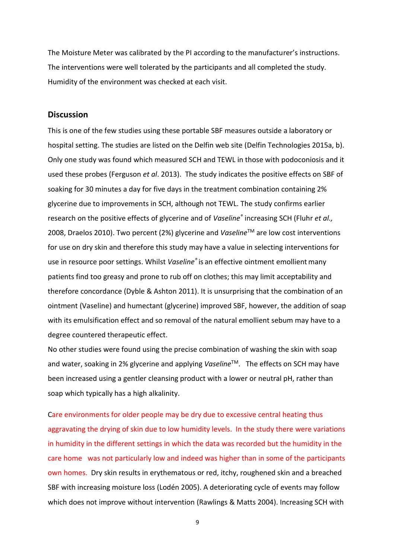The Moisture Meter was calibrated by the PI according to the manufacturer's instructions. The interventions were well tolerated by the participants and all completed the study. Humidity of the environment was checked at each visit.

### **Discussion**

This is one of the few studies using these portable SBF measures outside a laboratory or hospital setting. The studies are listed on the Delfin web site (Delfin Technologies 2015a, b). Only one study was found which measured SCH and TEWL in those with podoconiosis and it used these probes (Ferguson *et al*. 2013). The study indicates the positive effects on SBF of soaking for 30 minutes a day for five days in the treatment combination containing 2% glycerine due to improvements in SCH, although not TEWL. The study confirms earlier research on the positive effects of glycerine and of *Vaseline®* increasing SCH (Fluhr *et al.,* 2008, Draelos 2010). Two percent (2%) glycerine and *Vaseline*TM are low cost interventions for use on dry skin and therefore this study may have a value in selecting interventions for use in resource poor settings. Whilst *Vaseline®* is an effective ointment emollientmany patients find too greasy and prone to rub off on clothes; this may limit acceptability and therefore concordance (Dyble & Ashton 2011). It is unsurprising that the combination of an ointment (Vaseline) and humectant (glycerine) improved SBF, however, the addition of soap with its emulsification effect and so removal of the natural emollient sebum may have to a degree countered therapeutic effect.

No other studies were found using the precise combination of washing the skin with soap and water, soaking in 2% glycerine and applying *Vaseline*™. The effects on SCH may have been increased using a gentler cleansing product with a lower or neutral pH, rather than soap which typically has a high alkalinity.

Care environments for older people may be dry due to excessive central heating thus aggravating the drying of skin due to low humidity levels. In the study there were variations in humidity in the different settings in which the data was recorded but the humidity in the care home was not particularly low and indeed was higher than in some of the participants own homes. Dry skin results in erythematous or red, itchy, roughened skin and a breached SBF with increasing moisture loss (Lodén 2005). A deteriorating cycle of events may follow which does not improve without intervention (Rawlings & Matts 2004). Increasing SCH with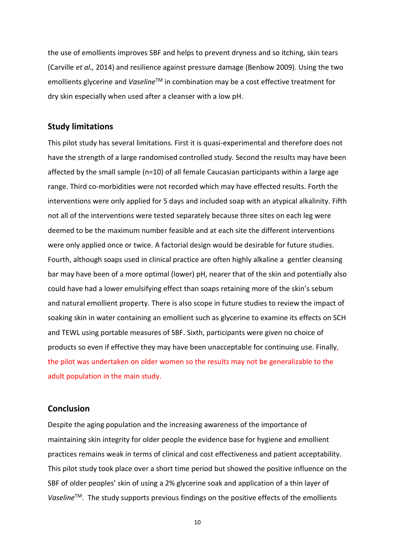the use of emollients improves SBF and helps to prevent dryness and so itching, skin tears (Carville *et al.,* 2014) and resilience against pressure damage (Benbow 2009). Using the two emollients glycerine and *Vaseline*TM in combination may be a cost effective treatment for dry skin especially when used after a cleanser with a low pH.

# **Study limitations**

This pilot study has several limitations. First it is quasi-experimental and therefore does not have the strength of a large randomised controlled study. Second the results may have been affected by the small sample (n=10) of all female Caucasian participants within a large age range. Third co-morbidities were not recorded which may have effected results. Forth the interventions were only applied for 5 days and included soap with an atypical alkalinity. Fifth not all of the interventions were tested separately because three sites on each leg were deemed to be the maximum number feasible and at each site the different interventions were only applied once or twice. A factorial design would be desirable for future studies. Fourth, although soaps used in clinical practice are often highly alkaline a gentler cleansing bar may have been of a more optimal (lower) pH, nearer that of the skin and potentially also could have had a lower emulsifying effect than soaps retaining more of the skin's sebum and natural emollient property. There is also scope in future studies to review the impact of soaking skin in water containing an emollient such as glycerine to examine its effects on SCH and TEWL using portable measures of SBF. Sixth, participants were given no choice of products so even if effective they may have been unacceptable for continuing use. Finally, the pilot was undertaken on older women so the results may not be generalizable to the adult population in the main study.

# **Conclusion**

Despite the aging population and the increasing awareness of the importance of maintaining skin integrity for older people the evidence base for hygiene and emollient practices remains weak in terms of clinical and cost effectiveness and patient acceptability. This pilot study took place over a short time period but showed the positive influence on the SBF of older peoples' skin of using a 2% glycerine soak and application of a thin layer of Vaseline<sup>™</sup>. The study supports previous findings on the positive effects of the emollients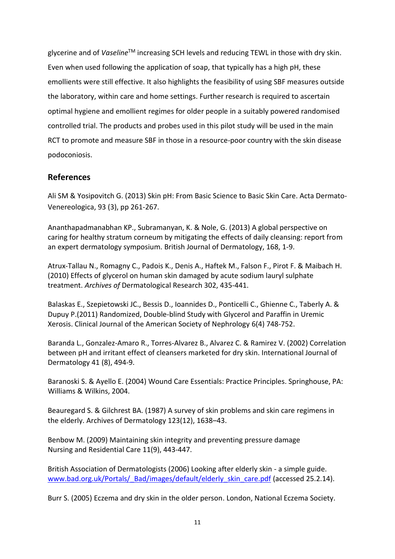glycerine and of *Vaseline*<sup>™</sup> increasing SCH levels and reducing TEWL in those with dry skin. Even when used following the application of soap, that typically has a high pH, these emollients were still effective. It also highlights the feasibility of using SBF measures outside the laboratory, within care and home settings. Further research is required to ascertain optimal hygiene and emollient regimes for older people in a suitably powered randomised controlled trial. The products and probes used in this pilot study will be used in the main RCT to promote and measure SBF in those in a resource-poor country with the skin disease podoconiosis.

# **References**

Ali SM & Yosipovitch G. (2013) Skin pH: From Basic Science to Basic Skin Care. Acta Dermato-Venereologica, 93 (3), pp 261-267.

Ananthapadmanabhan KP., Subramanyan, K. & Nole, G. (2013) A global perspective on caring for healthy stratum corneum by mitigating the effects of daily cleansing: report from an expert dermatology symposium. British Journal of Dermatology, 168, 1-9.

Atrux-Tallau N., Romagny C., Padois K., Denis A., Haftek M., Falson F., Pirot F. & Maibach H. (2010) Effects of glycerol on human skin damaged by acute sodium lauryl sulphate treatment. *Archives of* Dermatological Research 302, 435-441.

Balaskas E., Szepietowski JC., Bessis D., Ioannides D., Ponticelli C., Ghienne C., Taberly A. & Dupuy P.(2011) Randomized, Double-blind Study with Glycerol and Paraffin in Uremic Xerosis. Clinical Journal of the American Society of Nephrology 6(4) 748-752.

Baranda L., Gonzalez-Amaro R., Torres-Alvarez B., Alvarez C. & Ramirez V. (2002) Correlation between pH and irritant effect of cleansers marketed for dry skin. International Journal of Dermatology 41 (8), 494-9.

Baranoski S. & Ayello E. (2004) Wound Care Essentials: Practice Principles. Springhouse, PA: Williams & Wilkins, 2004.

Beauregard S. & Gilchrest BA. (1987) A survey of skin problems and skin care regimens in the elderly. Archives of Dermatology 123(12), 1638–43.

Benbow M. (2009) Maintaining skin integrity and preventing pressure damage Nursing and [Residential](http://www.refworks.com/refworks2/?r=references|MainLayout::init) Care 11(9), 443-447.

British Association of Dermatologists (2006) Looking after elderly skin - a simple guide. [www.bad.org.uk/Portals/\\_Bad/images/default/elderly\\_skin\\_care.pdf](http://www.bad.org.uk/Portals/_Bad/images/default/elderly_skin_care.pdf) (accessed 25.2.14).

Burr S. (2005) Eczema and dry skin in the older person. London, National Eczema Society.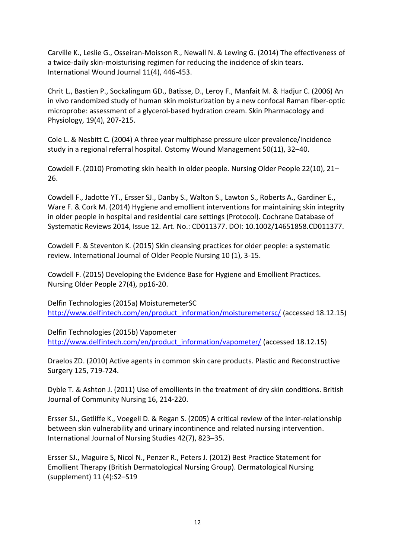Carville K., Leslie G., Osseiran-Moisson R., Newall N. & Lewing G. (2014) The effectiveness of a twice-daily skin-moisturising regimen for reducing the incidence of skin tears. International Wound Journal 11(4), 446-453.

Chrit L., Bastien P., Sockalingum GD., Batisse, D., Leroy F., Manfait M. & Hadjur C. (2006) An in vivo randomized study of human skin moisturization by a new confocal Raman fiber-optic microprobe: assessment of a glycerol-based hydration cream. Skin Pharmacology and Physiology, 19(4), 207-215.

Cole L. & Nesbitt C. (2004) A three year multiphase pressure ulcer prevalence/incidence study in a regional referral hospital. Ostomy Wound Management 50(11), 32–40.

Cowdell F. (2010) Promoting skin health in older people. Nursing Older People 22(10), 21– 26.

Cowdell F., Jadotte YT., Ersser SJ., Danby S., Walton S., Lawton S., Roberts A., Gardiner E., Ware F. & Cork M. (2014) Hygiene and emollient interventions for maintaining skin integrity in older people in hospital and residential care settings (Protocol). Cochrane Database of Systematic Reviews 2014, Issue 12. Art. No.: CD011377. DOI: 10.1002/14651858.CD011377.

Cowdell F. & Steventon K. (2015) Skin cleansing practices for older people: a systematic review. International Journal of Older People Nursing 10 (1), 3-15.

Cowdell F. (2015) Developing the Evidence Base for Hygiene and Emollient Practices. Nursing Older People 27(4), pp16-20.

Delfin Technologies (2015a) MoisturemeterSC [http://www.delfintech.com/en/product\\_information/moisturemetersc/](http://www.delfintech.com/en/product_information/moisturemetersc/) (accessed 18.12.15)

Delfin Technologies (2015b) Vapometer [http://www.delfintech.com/en/product\\_information/vapometer/](http://www.delfintech.com/en/product_information/vapometer/) (accessed 18.12.15)

Draelos ZD. (2010) Active agents in common skin care products. Plastic and Reconstructive Surgery 125, 719-724.

Dyble T. & Ashton J. (2011) Use of emollients in the treatment of dry skin conditions. British Journal of Community Nursing 16, 214-220.

Ersser SJ., Getliffe K., Voegeli D. & Regan S. (2005) A critical review of the inter-relationship between skin vulnerability and urinary incontinence and related nursing intervention. International Journal of Nursing Studies 42(7), 823–35.

Ersser SJ., Maguire S, Nicol N., Penzer R., Peters J. (2012) Best Practice Statement for Emollient Therapy (British Dermatological Nursing Group). Dermatological Nursing (supplement) 11 (4):S2–S19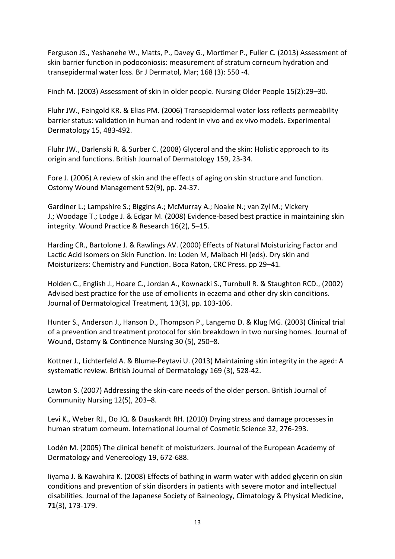Ferguson JS., Yeshanehe W., Matts, P., Davey G., Mortimer P., Fuller C. (2013) Assessment of skin barrier function in podoconiosis: measurement of stratum corneum hydration and transepidermal water loss. Br J Dermatol, Mar; 168 (3): 550 -4.

Finch M. (2003) Assessment of skin in older people. Nursing Older People 15(2):29–30.

Fluhr JW., Feingold KR. & Elias PM. (2006) Transepidermal water loss reflects permeability barrier status: validation in human and rodent in vivo and ex vivo models. Experimental Dermatology 15, 483-492.

Fluhr JW., Darlenski R. & Surber C. (2008) Glycerol and the skin: Holistic approach to its origin and functions. British Journal of Dermatology 159, 23-34.

Fore J. (2006) A review of skin and the effects of aging on skin structure and function. Ostomy Wound Management 52(9), pp. 24-37.

Gardiner L.; Lampshire S.; Biggins A.; McMurray A.; Noake N.; van Zyl M.; Vickery J.; Woodage T.; Lodge J. & Edgar M. (2008) Evidence-based best practice in maintaining skin integrity. Wound Practice & Research 16(2), 5–15.

Harding CR., Bartolone J. & Rawlings AV. (2000) Effects of Natural Moisturizing Factor and Lactic Acid Isomers on Skin Function. In: Loden M, Maibach HI (eds). Dry skin and Moisturizers: Chemistry and Function. Boca Raton, CRC Press. pp 29–41.

Holden C., English J., Hoare C., Jordan A., Kownacki S., Turnbull R. & Staughton RCD., (2002) Advised best practice for the use of emollients in eczema and other dry skin conditions. Journal of Dermatological Treatment*,* 13(3), pp. 103-106.

Hunter S., Anderson J., Hanson D., Thompson P., Langemo D. & Klug MG. (2003) Clinical trial of a prevention and treatment protocol for skin breakdown in two nursing homes. Journal of Wound, Ostomy & Continence Nursing 30 (5), 250–8.

Kottner J., Lichterfeld A. & Blume-Peytavi U. (2013) Maintaining skin integrity in the aged: A systematic review. British Journal of Dermatology 169 (3), 528-42.

Lawton S. (2007) Addressing the skin-care needs of the older person. British Journal of Community Nursing 12(5), 203–8.

Levi K., Weber RJ., Do JQ. & Dauskardt RH. (2010) Drying stress and damage processes in human stratum corneum. International Journal of Cosmetic Science 32, 276-293.

Lodén M. (2005) The clinical benefit of moisturizers. Journal of the European Academy of Dermatology and Venereology 19, 672-688.

Iiyama J. & Kawahira K. (2008) Effects of bathing in warm water with added glycerin on skin conditions and prevention of skin disorders in patients with severe motor and intellectual disabilities. Journal of the Japanese Society of Balneology, Climatology & Physical Medicine, **71**(3), 173-179.